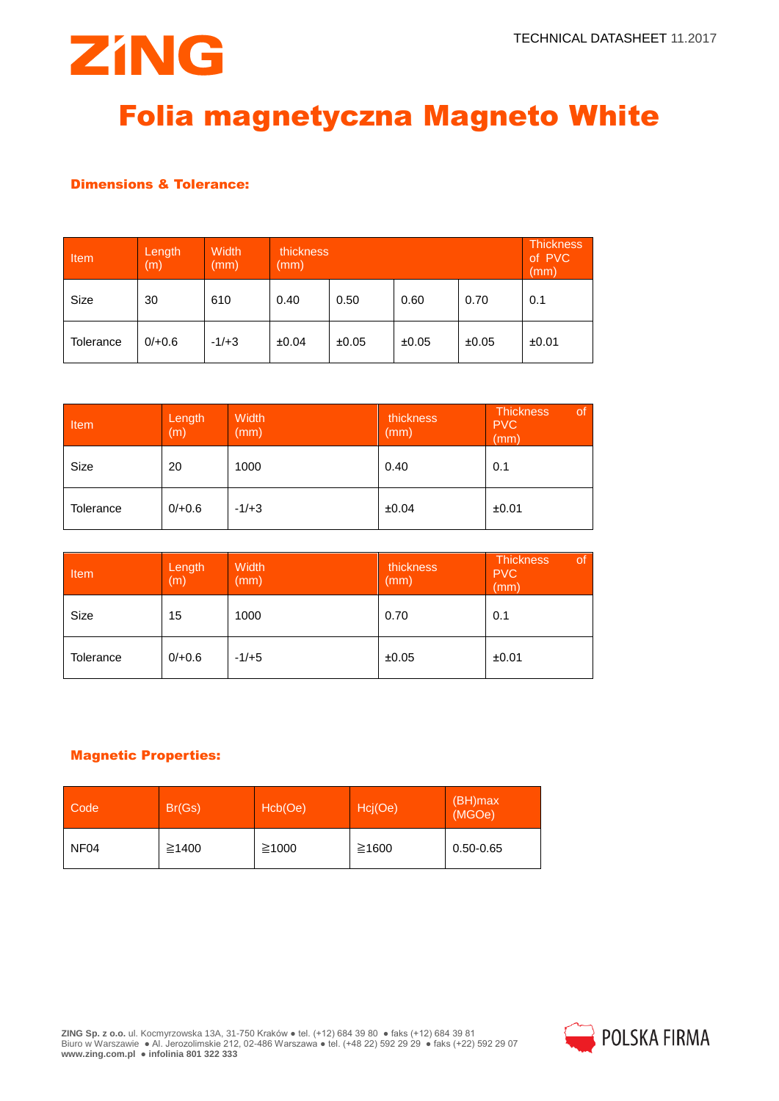

# Folia magnetyczna Magneto White

## Dimensions & Tolerance:

| Item      | Length<br>(m) | Width<br>(mm) | thickness<br>mm) |       |       | <b>Thickness</b><br>of PVC<br>(mm) |       |
|-----------|---------------|---------------|------------------|-------|-------|------------------------------------|-------|
| Size      | 30            | 610           | 0.40             | 0.50  | 0.60  | 0.70                               | 0.1   |
| Tolerance | $0/+0.6$      | $-1/+3$       | ±0.04            | ±0.05 | ±0.05 | ±0.05                              | ±0.01 |

| Item      | Length<br>(m) | Width<br>(mm) | thickness<br>(mm) | <b>Thickness</b><br><b>of</b><br><b>PVC</b><br>(mm) |
|-----------|---------------|---------------|-------------------|-----------------------------------------------------|
| Size      | 20            | 1000          | 0.40              | 0.1                                                 |
| Tolerance | $0/+0.6$      | $-1/+3$       | ±0.04             | ±0.01                                               |

| Item      | Length<br>(m) | Width<br>(mm) | thickness<br>(mm) | of<br><b>Thickness</b><br><b>PVC</b><br>(mm) |
|-----------|---------------|---------------|-------------------|----------------------------------------------|
| Size      | 15            | 1000          | 0.70              | 0.1                                          |
| Tolerance | $0/+0.6$      | $-1/+5$       | ±0.05             | ±0.01                                        |

#### Magnetic Properties:

| Code             | Br(Gs) | Hcb(Oe)     | Hcj(Oe) | (BH)max<br>(MGOe) |
|------------------|--------|-------------|---------|-------------------|
| NF <sub>04</sub> | ≥1400  | $\geq 1000$ | ≥1600   | $0.50 - 0.65$     |

**ZING Sp. z o.o.** ul. Kocmyrzowska 13A, 31-750 Kraków ● tel. (+12) 684 39 80 ● faks (+12) 684 39 81 Biuro w Warszawie ● Al. Jerozolimskie 212, 02-486 Warszawa ● tel. (+48 22) 592 29 29 ● faks (+22) 592 29 07 **www.zing.com.pl ● infolinia 801 322 333**